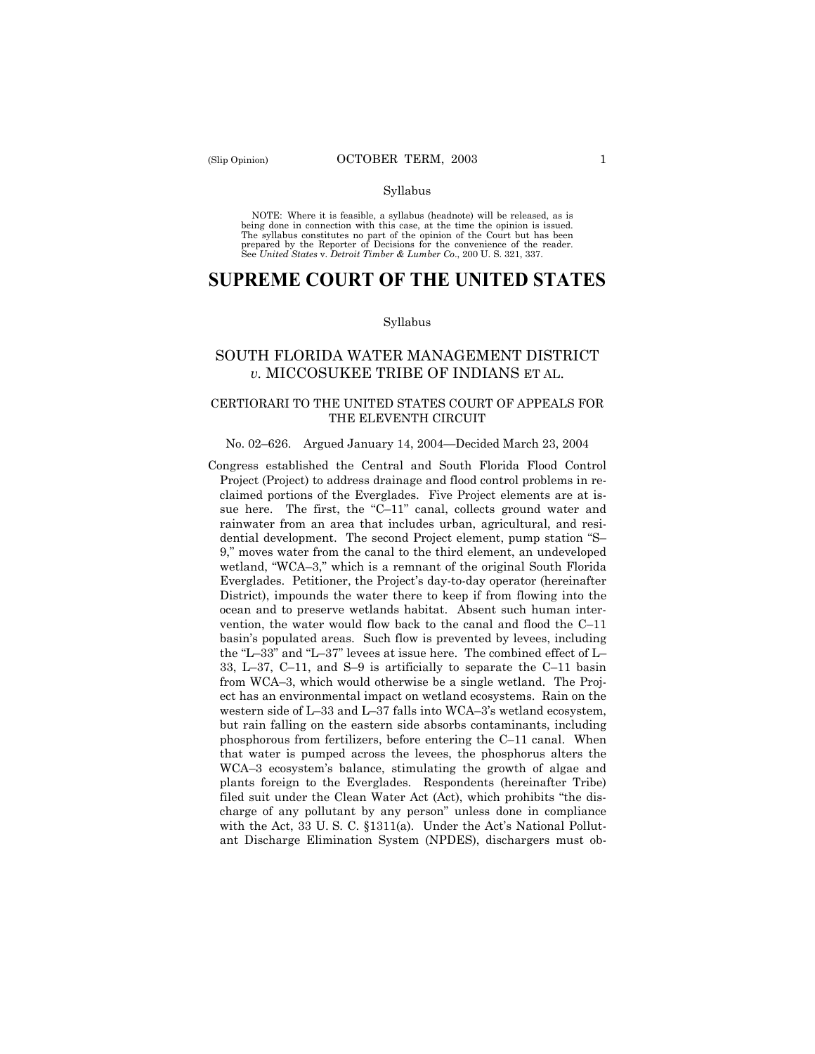#### Syllabus

NOTE: Where it is feasible, a syllabus (headnote) will be released, as is being done in connection with this case, at the time the opinion is issued. The syllabus constitutes no part of the opinion of the Court but has been<br>prepared by the Reporter of Decisions for the convenience of the reader.<br>See United States v. Detroit Timber & Lumber Co., 200 U. S. 321, 337.

# **SUPREME COURT OF THE UNITED STATES**

#### Syllabus

# SOUTH FLORIDA WATER MANAGEMENT DISTRICT *v.* MICCOSUKEE TRIBE OF INDIANS ET AL.

# CERTIORARI TO THE UNITED STATES COURT OF APPEALS FOR THE ELEVENTH CIRCUIT

#### No. 02–626. Argued January 14, 2004–Decided March 23, 2004

Congress established the Central and South Florida Flood Control Project (Project) to address drainage and flood control problems in reclaimed portions of the Everglades. Five Project elements are at issue here. The first, the  $C-11$ <sup>n</sup> canal, collects ground water and rainwater from an area that includes urban, agricultural, and residential development. The second Project element, pump station "S-9," moves water from the canal to the third element, an undeveloped wetland, "WCA-3," which is a remnant of the original South Florida Everglades. Petitioner, the Projectís day-to-day operator (hereinafter District), impounds the water there to keep if from flowing into the ocean and to preserve wetlands habitat. Absent such human intervention, the water would flow back to the canal and flood the  $C-11$ basinís populated areas. Such flow is prevented by levees, including the "L-33" and "L-37" levees at issue here. The combined effect of L-33, L-37, C-11, and S-9 is artificially to separate the C-11 basin from WCA–3, which would otherwise be a single wetland. The Project has an environmental impact on wetland ecosystems. Rain on the western side of L-33 and L-37 falls into WCA-3's wetland ecosystem, but rain falling on the eastern side absorbs contaminants, including phosphorous from fertilizers, before entering the  $C-11$  canal. When that water is pumped across the levees, the phosphorus alters the WCA-3 ecosystem's balance, stimulating the growth of algae and plants foreign to the Everglades. Respondents (hereinafter Tribe) filed suit under the Clean Water Act (Act), which prohibits "the discharge of any pollutant by any person<sup>"</sup> unless done in compliance with the Act, 33 U.S. C. §1311(a). Under the Act's National Pollutant Discharge Elimination System (NPDES), dischargers must ob-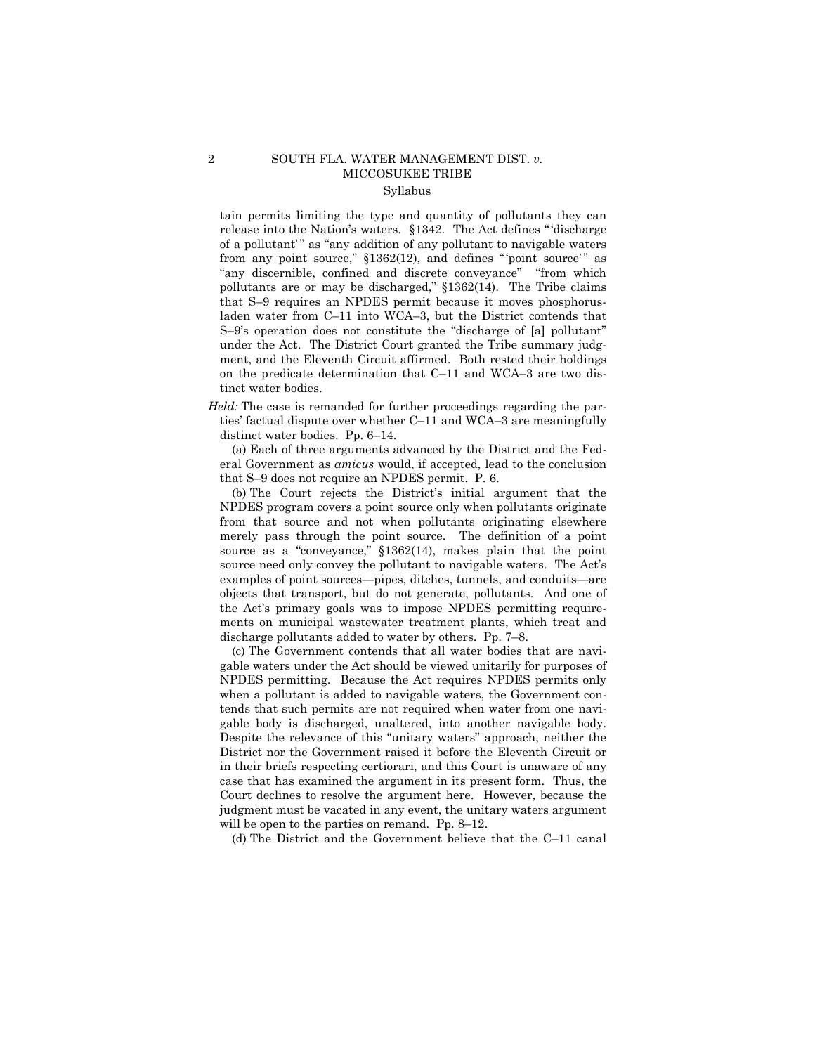### 2 SOUTH FLA. WATER MANAGEMENT DIST. *v.* MICCOSUKEE TRIBE Syllabus

tain permits limiting the type and quantity of pollutants they can release into the Nation's waters. §1342. The Act defines "discharge of a pollutant" as "any addition of any pollutant to navigable waters from any point source,"  $$1362(12)$ , and defines "point source" as "any discernible, confined and discrete conveyance" "from which pollutants are or may be discharged,"  $$1362(14)$ . The Tribe claims that S-9 requires an NPDES permit because it moves phosphorusladen water from C-11 into WCA-3, but the District contends that S-9's operation does not constitute the "discharge of [a] pollutant" under the Act. The District Court granted the Tribe summary judgment, and the Eleventh Circuit affirmed. Both rested their holdings on the predicate determination that  $C-11$  and WCA $-3$  are two distinct water bodies.

*Held:* The case is remanded for further proceedings regarding the parties' factual dispute over whether  $C-11$  and WCA $-3$  are meaningfully distinct water bodies. Pp.  $6-14$ .

(a) Each of three arguments advanced by the District and the Federal Government as *amicus* would, if accepted, lead to the conclusion that  $S-9$  does not require an NPDES permit. P. 6.

(b) The Court rejects the Districtís initial argument that the NPDES program covers a point source only when pollutants originate from that source and not when pollutants originating elsewhere merely pass through the point source. The definition of a point source as a "conveyance,"  $$1362(14)$ , makes plain that the point source need only convey the pollutant to navigable waters. The Act's examples of point sources—pipes, ditches, tunnels, and conduits—are objects that transport, but do not generate, pollutants. And one of the Act's primary goals was to impose NPDES permitting requirements on municipal wastewater treatment plants, which treat and discharge pollutants added to water by others. Pp.  $7-8$ .

(c) The Government contends that all water bodies that are navigable waters under the Act should be viewed unitarily for purposes of NPDES permitting. Because the Act requires NPDES permits only when a pollutant is added to navigable waters, the Government contends that such permits are not required when water from one navigable body is discharged, unaltered, into another navigable body. Despite the relevance of this "unitary waters" approach, neither the District nor the Government raised it before the Eleventh Circuit or in their briefs respecting certiorari, and this Court is unaware of any case that has examined the argument in its present form. Thus, the Court declines to resolve the argument here. However, because the judgment must be vacated in any event, the unitary waters argument will be open to the parties on remand. Pp.  $8-12$ .

(d) The District and the Government believe that the  $C-11$  canal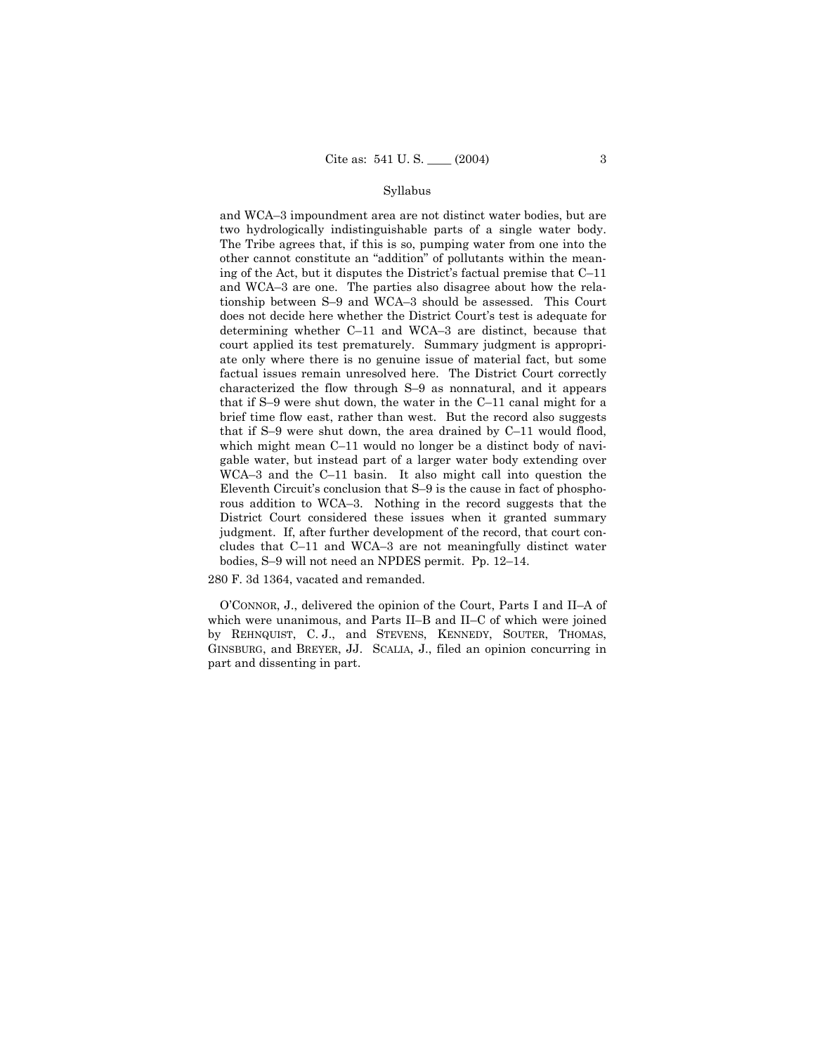#### Syllabus

and WCA-3 impoundment area are not distinct water bodies, but are two hydrologically indistinguishable parts of a single water body. The Tribe agrees that, if this is so, pumping water from one into the other cannot constitute an "addition" of pollutants within the meaning of the Act, but it disputes the District's factual premise that  $C-11$ and WCA–3 are one. The parties also disagree about how the relationship between S-9 and WCA-3 should be assessed. This Court does not decide here whether the District Court's test is adequate for determining whether  $C-11$  and WCA $-3$  are distinct, because that court applied its test prematurely. Summary judgment is appropriate only where there is no genuine issue of material fact, but some factual issues remain unresolved here. The District Court correctly characterized the flow through  $S-9$  as nonnatural, and it appears that if  $S-9$  were shut down, the water in the C-11 canal might for a brief time flow east, rather than west. But the record also suggests that if  $S-9$  were shut down, the area drained by  $C-11$  would flood, which might mean  $C-11$  would no longer be a distinct body of navigable water, but instead part of a larger water body extending over WCA $-3$  and the C $-11$  basin. It also might call into question the Eleventh Circuit's conclusion that S–9 is the cause in fact of phosphorous addition to WCA-3. Nothing in the record suggests that the District Court considered these issues when it granted summary judgment. If, after further development of the record, that court concludes that  $C-11$  and WCA $-3$  are not meaningfully distinct water bodies, S-9 will not need an NPDES permit. Pp. 12-14.

280 F. 3d 1364, vacated and remanded.

O'CONNOR, J., delivered the opinion of the Court, Parts I and II-A of which were unanimous, and Parts II-B and II-C of which were joined by REHNQUIST, C. J., and STEVENS, KENNEDY, SOUTER, THOMAS, GINSBURG, and BREYER, JJ. SCALIA, J., filed an opinion concurring in part and dissenting in part.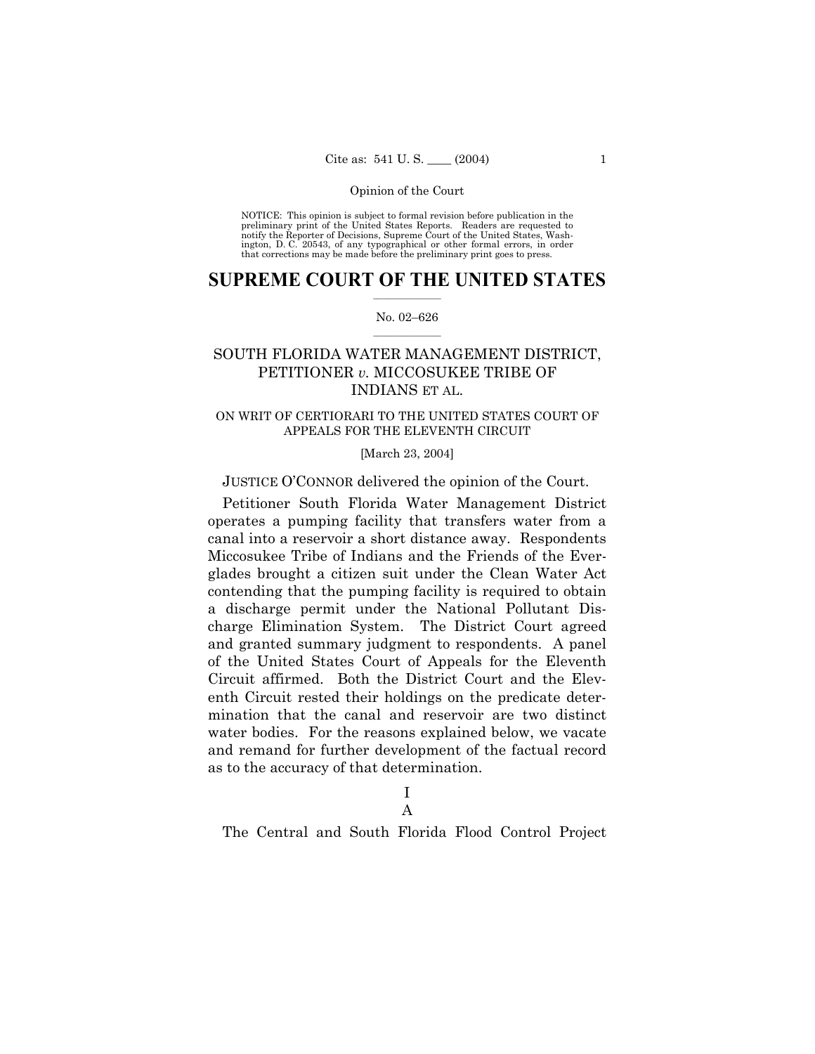NOTICE: This opinion is subject to formal revision before publication in the<br>preliminary print of the United States Reports. Readers are requested to<br>notify the Reporter of Decisions, Supreme Court of the United States, Wa ington, D. C. 20543, of any typographical or other formal errors, in order that corrections may be made before the preliminary print goes to press.

### **SUPREME COURT OF THE UNITED STATES**  $\mathcal{L}=\mathcal{L}^{\mathcal{L}}$

### No. 02-626  $\frac{1}{2}$  ,  $\frac{1}{2}$  ,  $\frac{1}{2}$  ,  $\frac{1}{2}$  ,  $\frac{1}{2}$  ,  $\frac{1}{2}$

# SOUTH FLORIDA WATER MANAGEMENT DISTRICT, PETITIONER *v.* MICCOSUKEE TRIBE OF INDIANS ET AL.

# ON WRIT OF CERTIORARI TO THE UNITED STATES COURT OF APPEALS FOR THE ELEVENTH CIRCUIT

# [March 23, 2004]

JUSTICE O'CONNOR delivered the opinion of the Court.

Petitioner South Florida Water Management District operates a pumping facility that transfers water from a canal into a reservoir a short distance away. Respondents Miccosukee Tribe of Indians and the Friends of the Everglades brought a citizen suit under the Clean Water Act contending that the pumping facility is required to obtain a discharge permit under the National Pollutant Discharge Elimination System. The District Court agreed and granted summary judgment to respondents. A panel of the United States Court of Appeals for the Eleventh Circuit affirmed. Both the District Court and the Eleventh Circuit rested their holdings on the predicate determination that the canal and reservoir are two distinct water bodies. For the reasons explained below, we vacate and remand for further development of the factual record as to the accuracy of that determination.

## I A

The Central and South Florida Flood Control Project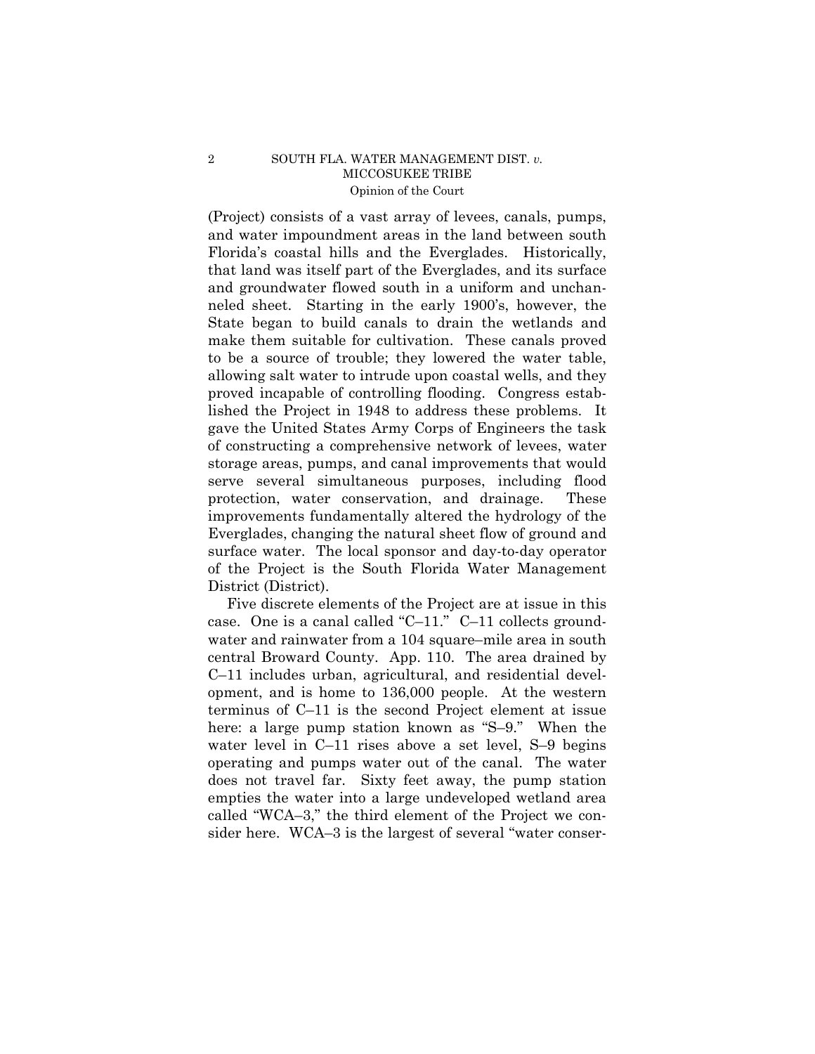(Project) consists of a vast array of levees, canals, pumps, and water impoundment areas in the land between south Floridaís coastal hills and the Everglades. Historically, that land was itself part of the Everglades, and its surface and groundwater flowed south in a uniform and unchanneled sheet. Starting in the early 1900ís, however, the State began to build canals to drain the wetlands and make them suitable for cultivation. These canals proved to be a source of trouble; they lowered the water table, allowing salt water to intrude upon coastal wells, and they proved incapable of controlling flooding. Congress established the Project in 1948 to address these problems. It gave the United States Army Corps of Engineers the task of constructing a comprehensive network of levees, water storage areas, pumps, and canal improvements that would serve several simultaneous purposes, including flood protection, water conservation, and drainage. These improvements fundamentally altered the hydrology of the Everglades, changing the natural sheet flow of ground and surface water. The local sponsor and day-to-day operator of the Project is the South Florida Water Management District (District).

 Five discrete elements of the Project are at issue in this case. One is a canal called "C-11." C-11 collects groundwater and rainwater from a 104 square–mile area in south central Broward County. App. 110. The area drained by  $C-11$  includes urban, agricultural, and residential development, and is home to 136,000 people. At the western terminus of  $C-11$  is the second Project element at issue here: a large pump station known as  $S-9$ . When the water level in  $C-11$  rises above a set level, S-9 begins operating and pumps water out of the canal. The water does not travel far. Sixty feet away, the pump station empties the water into a large undeveloped wetland area called "WCA $-3$ ," the third element of the Project we consider here. WCA–3 is the largest of several "water conser-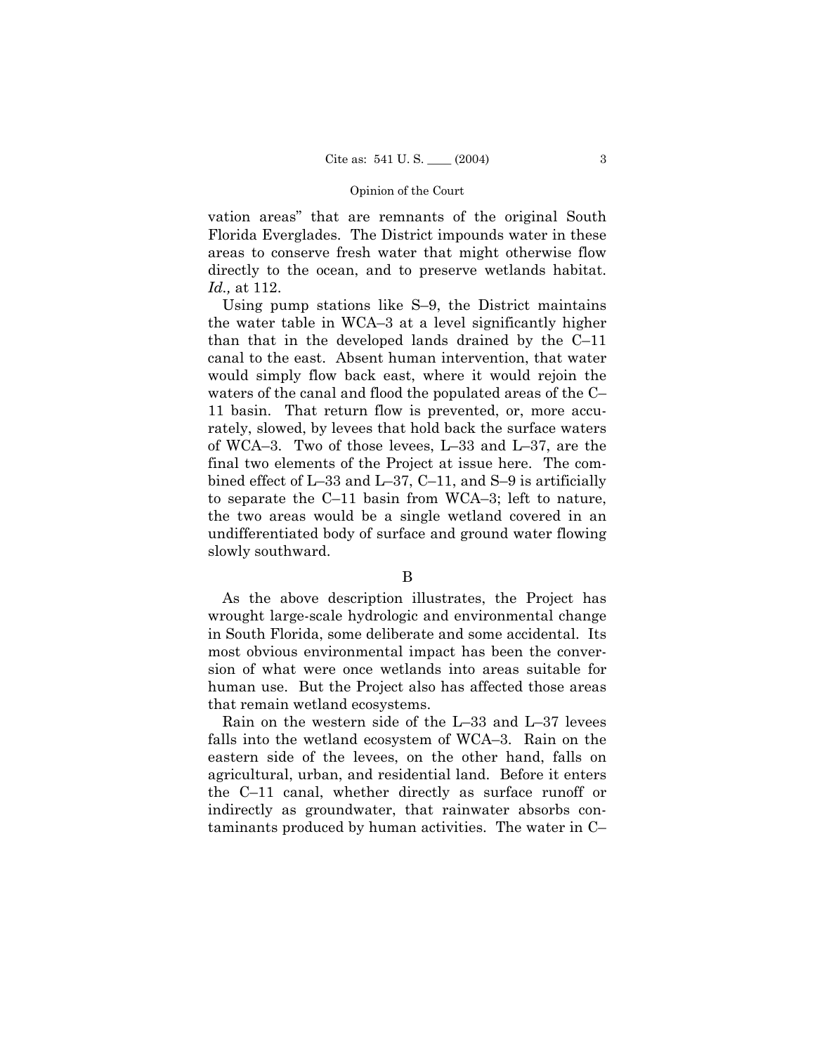vation areas" that are remnants of the original South Florida Everglades. The District impounds water in these areas to conserve fresh water that might otherwise flow directly to the ocean, and to preserve wetlands habitat. *Id.,* at 112.

Using pump stations like  $S-9$ , the District maintains the water table in WCA $-3$  at a level significantly higher than that in the developed lands drained by the  $C-11$ canal to the east. Absent human intervention, that water would simply flow back east, where it would rejoin the waters of the canal and flood the populated areas of the  $C<sub>+</sub>$ 11 basin. That return flow is prevented, or, more accurately, slowed, by levees that hold back the surface waters of WCA $-3$ . Two of those levees, L $-33$  and L $-37$ , are the final two elements of the Project at issue here. The combined effect of L-33 and L-37, C-11, and S-9 is artificially to separate the  $C-11$  basin from WCA $-3$ ; left to nature, the two areas would be a single wetland covered in an undifferentiated body of surface and ground water flowing slowly southward.

As the above description illustrates, the Project has wrought large-scale hydrologic and environmental change in South Florida, some deliberate and some accidental. Its most obvious environmental impact has been the conversion of what were once wetlands into areas suitable for human use. But the Project also has affected those areas that remain wetland ecosystems.

Rain on the western side of the  $L$ -33 and  $L$ -37 levees falls into the wetland ecosystem of WCA–3. Rain on the eastern side of the levees, on the other hand, falls on agricultural, urban, and residential land. Before it enters the  $C-11$  canal, whether directly as surface runoff or indirectly as groundwater, that rainwater absorbs contaminants produced by human activities. The water in  $C<sub>+</sub>$ 

B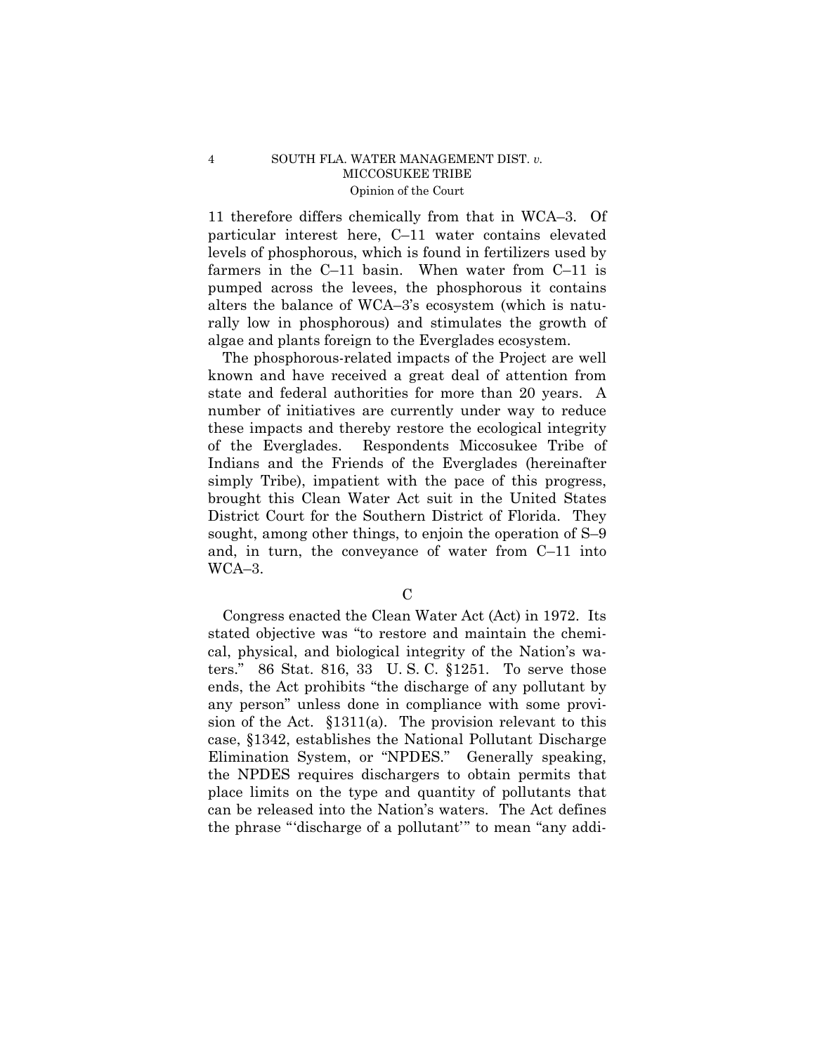11 therefore differs chemically from that in WCA–3. Of particular interest here,  $C-11$  water contains elevated levels of phosphorous, which is found in fertilizers used by farmers in the  $C-11$  basin. When water from  $C-11$  is pumped across the levees, the phosphorous it contains alters the balance of  $WCA-3$ 's ecosystem (which is naturally low in phosphorous) and stimulates the growth of algae and plants foreign to the Everglades ecosystem.

The phosphorous-related impacts of the Project are well known and have received a great deal of attention from state and federal authorities for more than 20 years. A number of initiatives are currently under way to reduce these impacts and thereby restore the ecological integrity of the Everglades. Respondents Miccosukee Tribe of Indians and the Friends of the Everglades (hereinafter simply Tribe), impatient with the pace of this progress, brought this Clean Water Act suit in the United States District Court for the Southern District of Florida. They sought, among other things, to enjoin the operation of  $S-9$ and, in turn, the conveyance of water from  $C-11$  into  $WCA-3$ .

 $\mathcal{C}$ 

Congress enacted the Clean Water Act (Act) in 1972. Its stated objective was "to restore and maintain the chemical, physical, and biological integrity of the Nation's waters." 86 Stat. 816, 33 U.S.C.  $$1251$ . To serve those ends, the Act prohibits "the discharge of any pollutant by any personî unless done in compliance with some provision of the Act. ß1311(a). The provision relevant to this case, ß1342, establishes the National Pollutant Discharge Elimination System, or "NPDES." Generally speaking, the NPDES requires dischargers to obtain permits that place limits on the type and quantity of pollutants that can be released into the Nation's waters. The Act defines the phrase "discharge of a pollutant" to mean "any addi-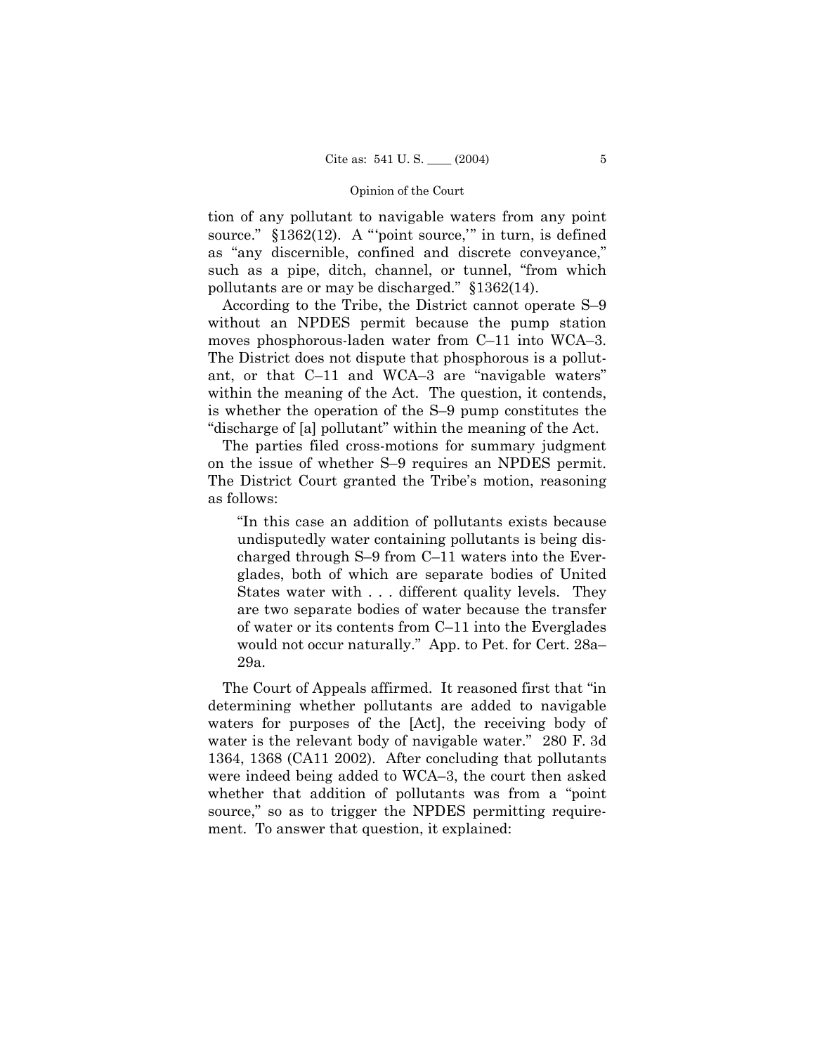tion of any pollutant to navigable waters from any point source." §1362(12). A "point source," in turn, is defined as "any discernible, confined and discrete conveyance," such as a pipe, ditch, channel, or tunnel, "from which pollutants are or may be discharged."  $$1362(14)$ .

According to the Tribe, the District cannot operate  $S-9$ without an NPDES permit because the pump station moves phosphorous-laden water from  $C-11$  into WCA $-3$ . The District does not dispute that phosphorous is a pollutant, or that  $C-11$  and WCA $-3$  are "navigable waters" within the meaning of the Act. The question, it contends, is whether the operation of the S-9 pump constitutes the "discharge of [a] pollutant" within the meaning of the Act.

The parties filed cross-motions for summary judgment on the issue of whether S–9 requires an NPDES permit. The District Court granted the Tribe's motion, reasoning as follows:

ìIn this case an addition of pollutants exists because undisputedly water containing pollutants is being discharged through  $S-9$  from  $C-11$  waters into the Everglades, both of which are separate bodies of United States water with . . . different quality levels. They are two separate bodies of water because the transfer of water or its contents from  $C-11$  into the Everglades would not occur naturally." App. to Pet. for Cert. 28a-29a.

The Court of Appeals affirmed. It reasoned first that "in" determining whether pollutants are added to navigable waters for purposes of the [Act], the receiving body of water is the relevant body of navigable water." 280 F. 3d 1364, 1368 (CA11 2002). After concluding that pollutants were indeed being added to  $WCA-3$ , the court then asked whether that addition of pollutants was from a "point" source," so as to trigger the NPDES permitting requirement. To answer that question, it explained: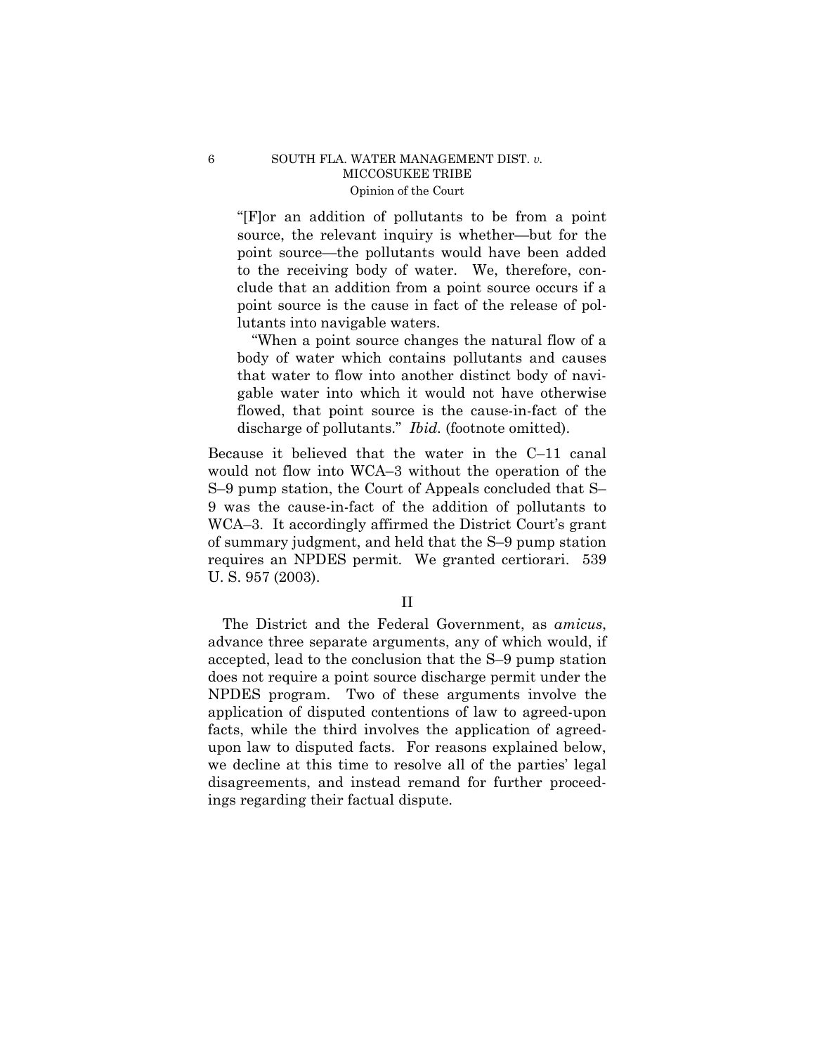ì[F]or an addition of pollutants to be from a point source, the relevant inquiry is whether—but for the point source—the pollutants would have been added to the receiving body of water. We, therefore, conclude that an addition from a point source occurs if a point source is the cause in fact of the release of pollutants into navigable waters.

ìWhen a point source changes the natural flow of a body of water which contains pollutants and causes that water to flow into another distinct body of navigable water into which it would not have otherwise flowed, that point source is the cause-in-fact of the discharge of pollutants." *Ibid.* (footnote omitted).

Because it believed that the water in the C-11 canal would not flow into WCA-3 without the operation of the S-9 pump station, the Court of Appeals concluded that S-9 was the cause-in-fact of the addition of pollutants to WCA–3. It accordingly affirmed the District Court's grant of summary judgment, and held that the S–9 pump station requires an NPDES permit. We granted certiorari. 539 U. S. 957 (2003).

# II

The District and the Federal Government, as *amicus*, advance three separate arguments, any of which would, if accepted, lead to the conclusion that the S–9 pump station does not require a point source discharge permit under the NPDES program. Two of these arguments involve the application of disputed contentions of law to agreed-upon facts, while the third involves the application of agreedupon law to disputed facts. For reasons explained below, we decline at this time to resolve all of the parties' legal disagreements, and instead remand for further proceedings regarding their factual dispute.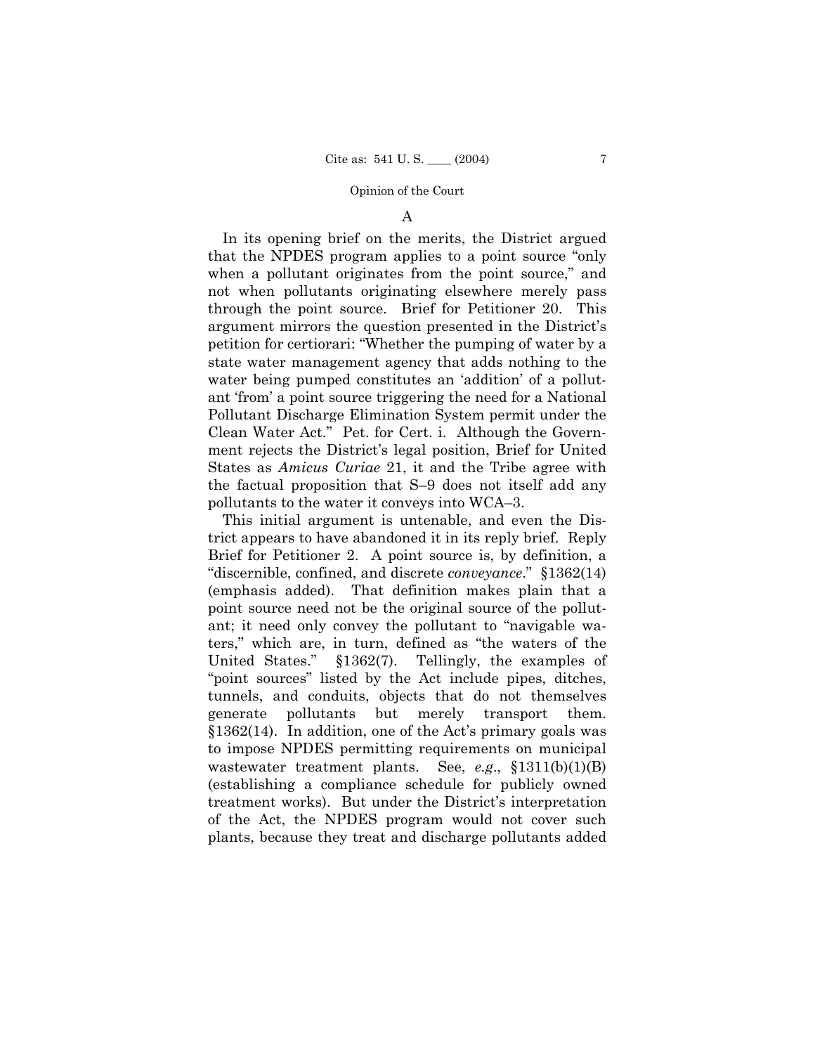### A

In its opening brief on the merits, the District argued that the NPDES program applies to a point source "only" when a pollutant originates from the point source," and not when pollutants originating elsewhere merely pass through the point source. Brief for Petitioner 20. This argument mirrors the question presented in the District's petition for certiorari: "Whether the pumping of water by a state water management agency that adds nothing to the water being pumped constitutes an 'addition' of a pollutant 'from' a point source triggering the need for a National Pollutant Discharge Elimination System permit under the Clean Water Act." Pet. for Cert. i. Although the Government rejects the District's legal position, Brief for United States as *Amicus Curiae* 21, it and the Tribe agree with the factual proposition that S–9 does not itself add any pollutants to the water it conveys into WCA–3.

This initial argument is untenable, and even the District appears to have abandoned it in its reply brief. Reply Brief for Petitioner 2. A point source is, by definition, a ìdiscernible, confined, and discrete *conveyance*.î ß1362(14) (emphasis added). That definition makes plain that a point source need not be the original source of the pollutant; it need only convey the pollutant to "navigable waters," which are, in turn, defined as "the waters of the United States." §1362(7). Tellingly, the examples of "point sources" listed by the Act include pipes, ditches, tunnels, and conduits, objects that do not themselves generate pollutants but merely transport them.  $§1362(14)$ . In addition, one of the Act's primary goals was to impose NPDES permitting requirements on municipal wastewater treatment plants. See, *e.g.*,  $$1311(b)(1)(B)$ (establishing a compliance schedule for publicly owned treatment works). But under the District's interpretation of the Act, the NPDES program would not cover such plants, because they treat and discharge pollutants added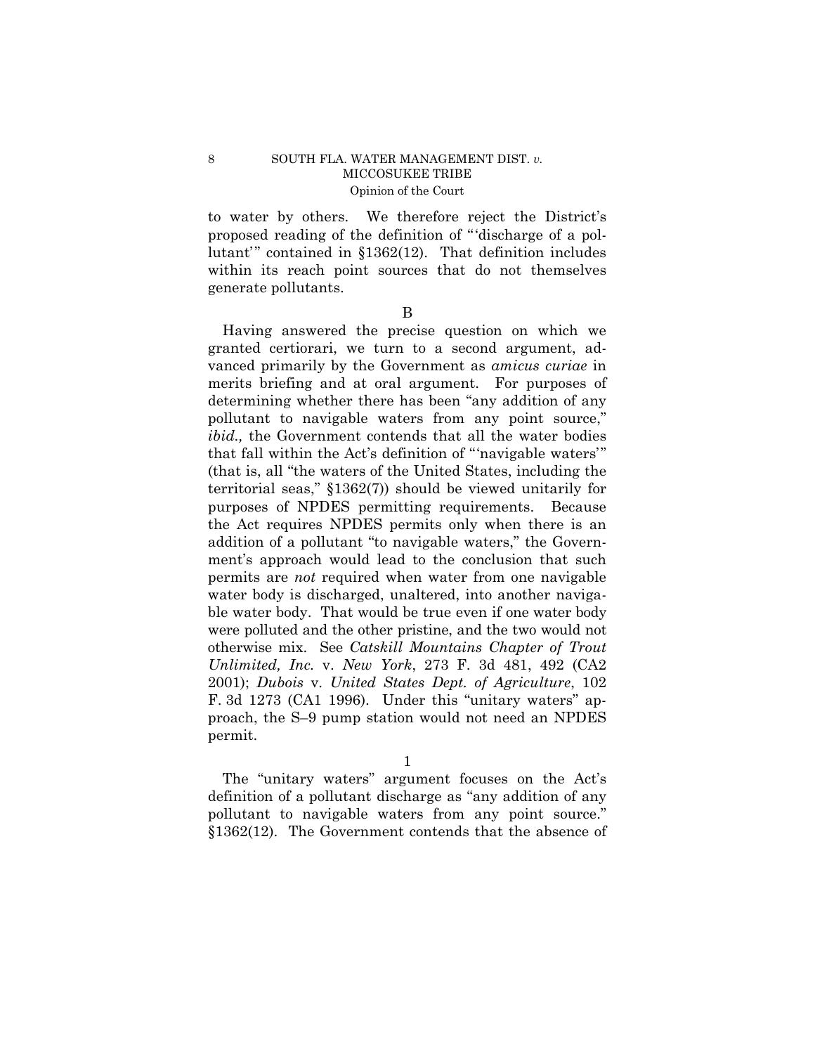to water by others. We therefore reject the District's proposed reading of the definition of "discharge of a pollutant" contained in §1362(12). That definition includes within its reach point sources that do not themselves generate pollutants.

B

Having answered the precise question on which we granted certiorari, we turn to a second argument, advanced primarily by the Government as *amicus curiae* in merits briefing and at oral argument. For purposes of determining whether there has been "any addition of any pollutant to navigable waters from any point source," *ibid.,* the Government contends that all the water bodies that fall within the Act's definition of "navigable waters" (that is, all "the waters of the United States, including the territorial seas,"  $$1362(7)$  should be viewed unitarily for purposes of NPDES permitting requirements. Because the Act requires NPDES permits only when there is an addition of a pollutant "to navigable waters," the Government's approach would lead to the conclusion that such permits are *not* required when water from one navigable water body is discharged, unaltered, into another navigable water body. That would be true even if one water body were polluted and the other pristine, and the two would not otherwise mix. See *Catskill Mountains Chapter of Trout Unlimited, Inc.* v. *New York*, 273 F. 3d 481, 492 (CA2 2001); *Dubois* v. *United States Dept. of Agriculture*, 102 F. 3d  $1273$  (CA1 1996). Under this "unitary waters" approach, the S-9 pump station would not need an NPDES permit.

1

The "unitary waters" argument focuses on the Act's definition of a pollutant discharge as "any addition of any pollutant to navigable waters from any point source. ß1362(12). The Government contends that the absence of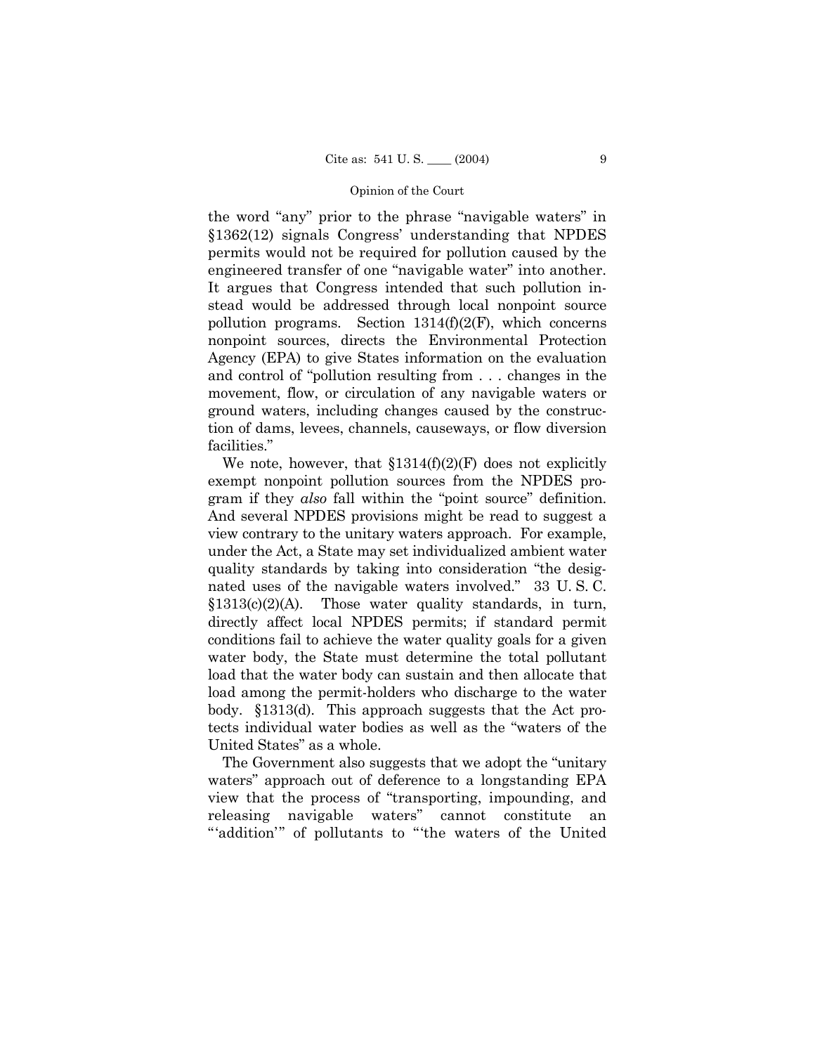the word "any" prior to the phrase "navigable waters" in ß1362(12) signals Congressí understanding that NPDES permits would not be required for pollution caused by the engineered transfer of one "navigable water" into another. It argues that Congress intended that such pollution instead would be addressed through local nonpoint source pollution programs. Section  $1314(f)(2(F))$ , which concerns nonpoint sources, directs the Environmental Protection Agency (EPA) to give States information on the evaluation and control of "pollution resulting from . . . changes in the movement, flow, or circulation of any navigable waters or ground waters, including changes caused by the construction of dams, levees, channels, causeways, or flow diversion facilities."

We note, however, that  $$1314(f)(2)(F)$  does not explicitly exempt nonpoint pollution sources from the NPDES program if they *also* fall within the "point source" definition. And several NPDES provisions might be read to suggest a view contrary to the unitary waters approach. For example, under the Act, a State may set individualized ambient water quality standards by taking into consideration "the designated uses of the navigable waters involved." 33 U.S.C.  $$1313(c)(2)(A)$ . Those water quality standards, in turn, directly affect local NPDES permits; if standard permit conditions fail to achieve the water quality goals for a given water body, the State must determine the total pollutant load that the water body can sustain and then allocate that load among the permit-holders who discharge to the water body. ß1313(d). This approach suggests that the Act protects individual water bodies as well as the "waters of the United States" as a whole.

The Government also suggests that we adopt the "unitary" waters" approach out of deference to a longstanding EPA view that the process of "transporting, impounding, and releasing navigable waters" cannot constitute an "addition" of pollutants to "the waters of the United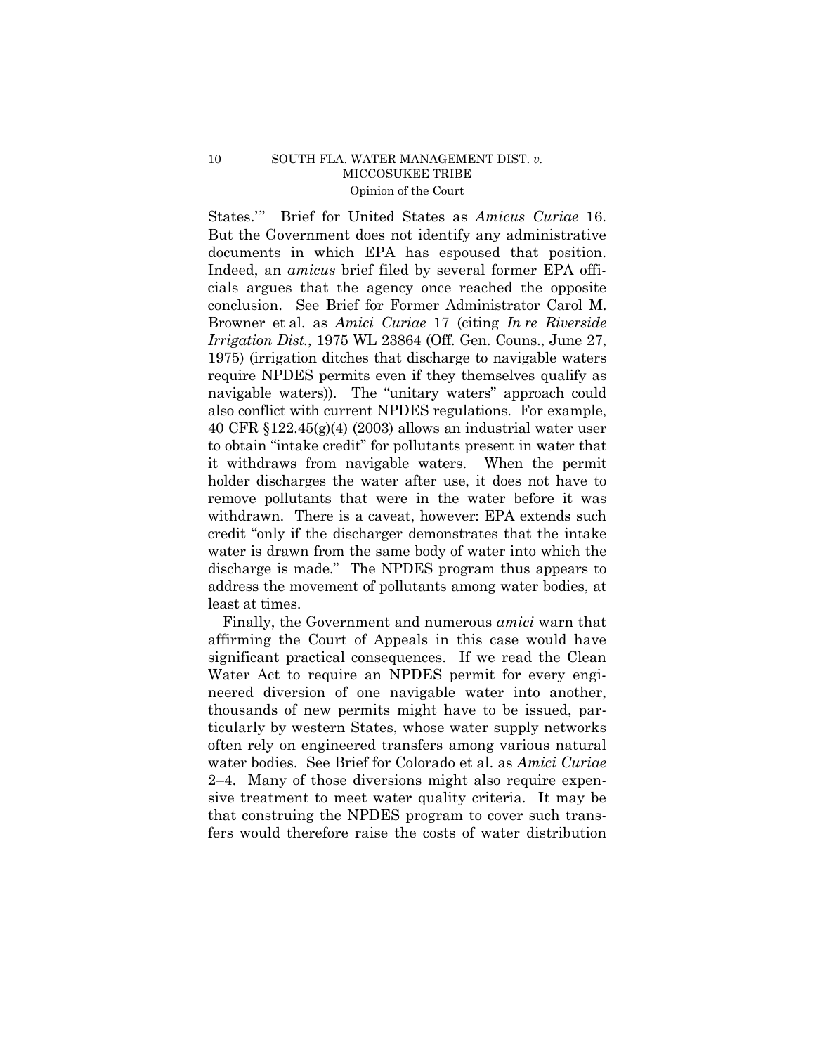States.<sup>77</sup> Brief for United States as *Amicus Curiae* 16. But the Government does not identify any administrative documents in which EPA has espoused that position. Indeed, an *amicus* brief filed by several former EPA officials argues that the agency once reached the opposite conclusion. See Brief for Former Administrator Carol M. Browner et al. as *Amici Curiae* 17 (citing *In re Riverside Irrigation Dist.*, 1975 WL 23864 (Off. Gen. Couns., June 27, 1975) (irrigation ditches that discharge to navigable waters require NPDES permits even if they themselves qualify as navigable waters)). The "unitary waters" approach could also conflict with current NPDES regulations. For example, 40 CFR ß122.45(g)(4) (2003) allows an industrial water user to obtain "intake credit" for pollutants present in water that it withdraws from navigable waters. When the permit holder discharges the water after use, it does not have to remove pollutants that were in the water before it was withdrawn. There is a caveat, however: EPA extends such credit "only if the discharger demonstrates that the intake water is drawn from the same body of water into which the discharge is made." The NPDES program thus appears to address the movement of pollutants among water bodies, at least at times.

Finally, the Government and numerous *amici* warn that affirming the Court of Appeals in this case would have significant practical consequences. If we read the Clean Water Act to require an NPDES permit for every engineered diversion of one navigable water into another, thousands of new permits might have to be issued, particularly by western States, whose water supply networks often rely on engineered transfers among various natural water bodies. See Brief for Colorado et al. as *Amici Curiae* 2–4. Many of those diversions might also require expensive treatment to meet water quality criteria. It may be that construing the NPDES program to cover such transfers would therefore raise the costs of water distribution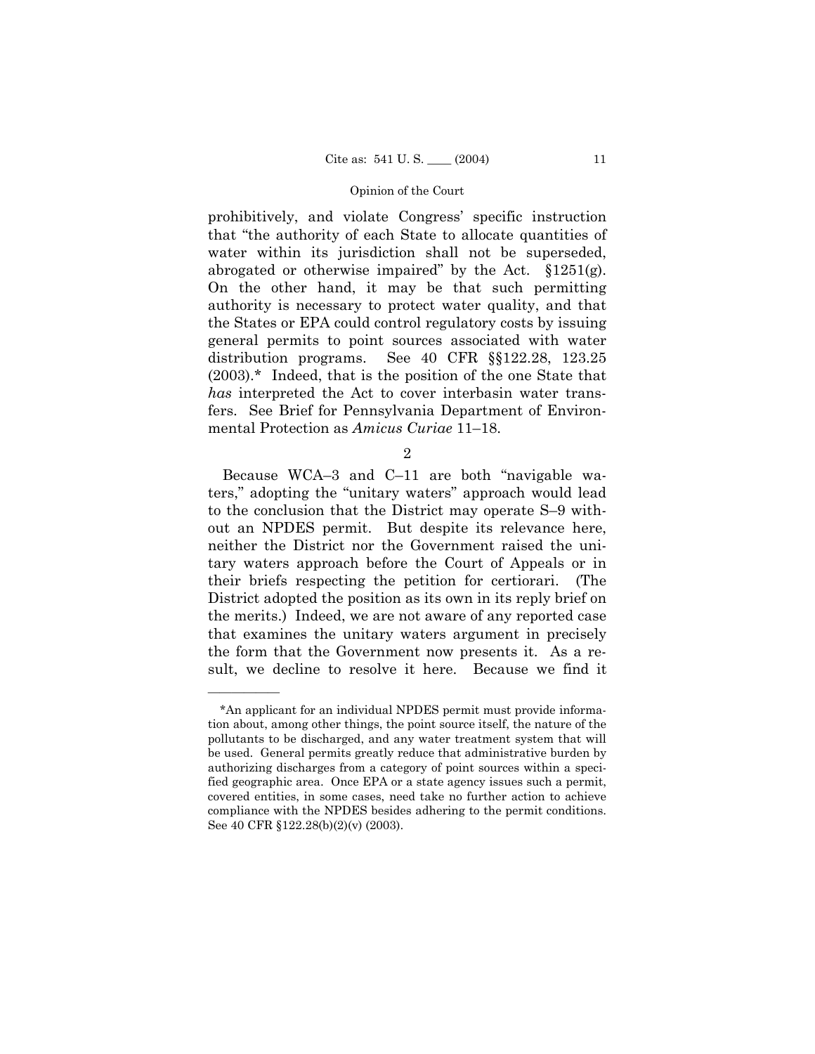prohibitively, and violate Congress' specific instruction that "the authority of each State to allocate quantities of water within its jurisdiction shall not be superseded, abrogated or otherwise impaired" by the Act.  $$1251(g)$ . On the other hand, it may be that such permitting authority is necessary to protect water quality, and that the States or EPA could control regulatory costs by issuing general permits to point sources associated with water distribution programs. See 40 CFR ßß122.28, 123.25 (2003).\* Indeed, that is the position of the one State that *has* interpreted the Act to cover interbasin water transfers. See Brief for Pennsylvania Department of Environmental Protection as *Amicus Curiae* 11–18.

2

Because WCA $-3$  and C $-11$  are both "navigable waters," adopting the "unitary waters" approach would lead to the conclusion that the District may operate S–9 without an NPDES permit. But despite its relevance here, neither the District nor the Government raised the unitary waters approach before the Court of Appeals or in their briefs respecting the petition for certiorari. (The District adopted the position as its own in its reply brief on the merits.) Indeed, we are not aware of any reported case that examines the unitary waters argument in precisely the form that the Government now presents it. As a result, we decline to resolve it here. Because we find it

<u>óóóóóóóóóóóóóó</u>

<sup>\*</sup>An applicant for an individual NPDES permit must provide information about, among other things, the point source itself, the nature of the pollutants to be discharged, and any water treatment system that will be used. General permits greatly reduce that administrative burden by authorizing discharges from a category of point sources within a specified geographic area. Once EPA or a state agency issues such a permit, covered entities, in some cases, need take no further action to achieve compliance with the NPDES besides adhering to the permit conditions. See 40 CFR §122.28(b)(2)(v) (2003).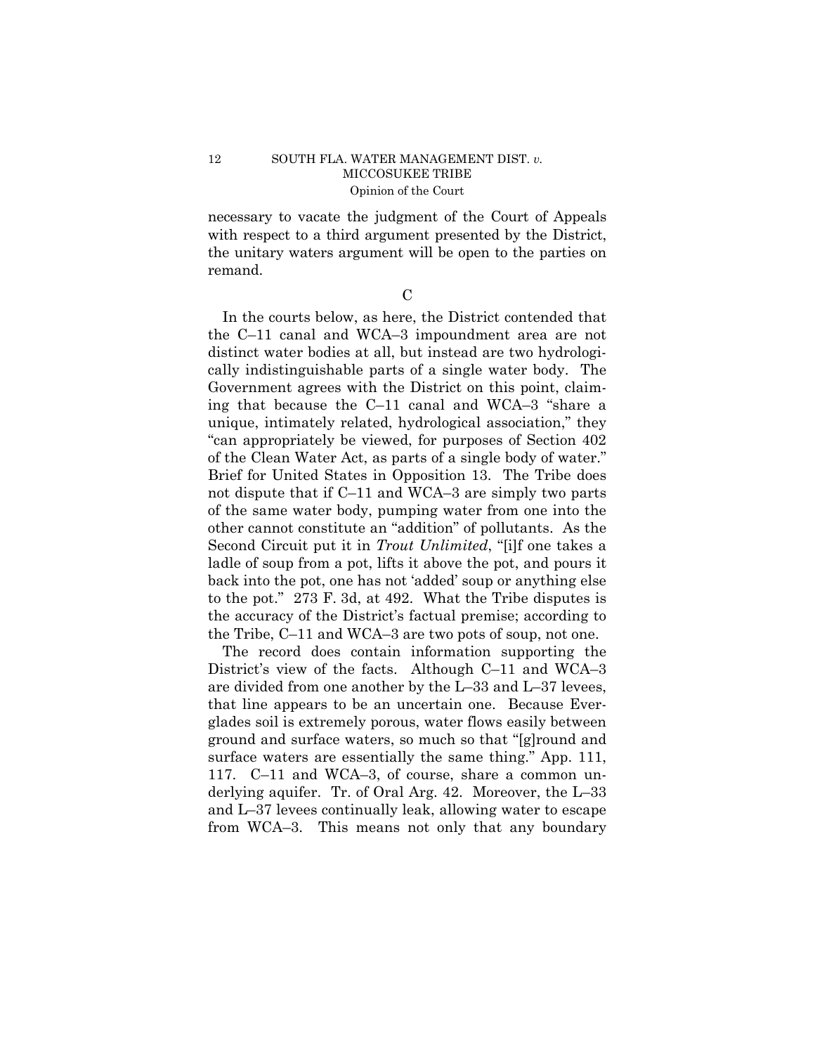necessary to vacate the judgment of the Court of Appeals with respect to a third argument presented by the District, the unitary waters argument will be open to the parties on remand.

 $\mathcal{C}$ 

In the courts below, as here, the District contended that the  $C-11$  canal and WCA $-3$  impoundment area are not distinct water bodies at all, but instead are two hydrologically indistinguishable parts of a single water body. The Government agrees with the District on this point, claiming that because the  $C-11$  canal and WCA $-3$  "share a unique, intimately related, hydrological association," they ìcan appropriately be viewed, for purposes of Section 402 of the Clean Water Act, as parts of a single body of water. Brief for United States in Opposition 13. The Tribe does not dispute that if  $C-11$  and WCA $-3$  are simply two parts of the same water body, pumping water from one into the other cannot constitute an "addition" of pollutants. As the Second Circuit put it in *Trout Unlimited*, "[i]f one takes a ladle of soup from a pot, lifts it above the pot, and pours it back into the pot, one has not 'added' soup or anything else to the pot.î 273 F. 3d, at 492. What the Tribe disputes is the accuracy of the District's factual premise; according to the Tribe,  $C-11$  and WCA $-3$  are two pots of soup, not one.

The record does contain information supporting the District's view of the facts. Although  $C-11$  and WCA $-3$ are divided from one another by the  $L-33$  and  $L-37$  levees, that line appears to be an uncertain one. Because Everglades soil is extremely porous, water flows easily between ground and surface waters, so much so that "[g]round and surface waters are essentially the same thing." App. 111, 117.  $C-11$  and WCA-3, of course, share a common underlying aquifer. Tr. of Oral Arg.  $42$ . Moreover, the L-33 and  $L$ -37 levees continually leak, allowing water to escape from WCA-3. This means not only that any boundary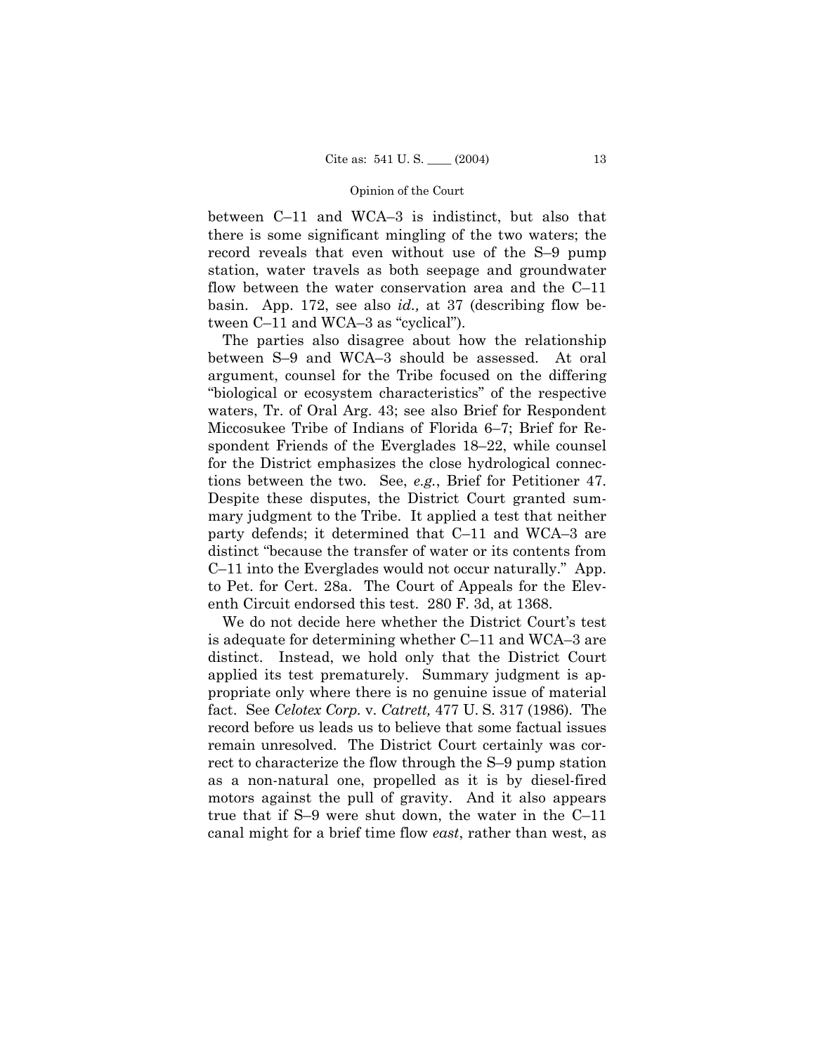between  $C-11$  and WCA $-3$  is indistinct, but also that there is some significant mingling of the two waters; the record reveals that even without use of the S-9 pump station, water travels as both seepage and groundwater flow between the water conservation area and the  $C-11$ basin. App. 172, see also *id.,* at 37 (describing flow between  $C-11$  and WCA $-3$  as "cyclical").

The parties also disagree about how the relationship between  $S-9$  and WCA $-3$  should be assessed. At oral argument, counsel for the Tribe focused on the differing ìbiological or ecosystem characteristicsî of the respective waters, Tr. of Oral Arg. 43; see also Brief for Respondent Miccosukee Tribe of Indians of Florida  $6-7$ ; Brief for Respondent Friends of the Everglades  $18-22$ , while counsel for the District emphasizes the close hydrological connections between the two. See, *e.g.*, Brief for Petitioner 47. Despite these disputes, the District Court granted summary judgment to the Tribe. It applied a test that neither party defends; it determined that  $C-11$  and WCA $-3$  are distinct "because the transfer of water or its contents from  $C-11$  into the Everglades would not occur naturally." App. to Pet. for Cert. 28a. The Court of Appeals for the Eleventh Circuit endorsed this test. 280 F. 3d, at 1368.

We do not decide here whether the District Court's test is adequate for determining whether  $C-11$  and WCA $-3$  are distinct. Instead, we hold only that the District Court applied its test prematurely. Summary judgment is appropriate only where there is no genuine issue of material fact. See *Celotex Corp.* v. *Catrett,* 477 U. S. 317 (1986). The record before us leads us to believe that some factual issues remain unresolved. The District Court certainly was correct to characterize the flow through the S–9 pump station as a non-natural one, propelled as it is by diesel-fired motors against the pull of gravity. And it also appears true that if  $S-9$  were shut down, the water in the  $C-11$ canal might for a brief time flow *east*, rather than west, as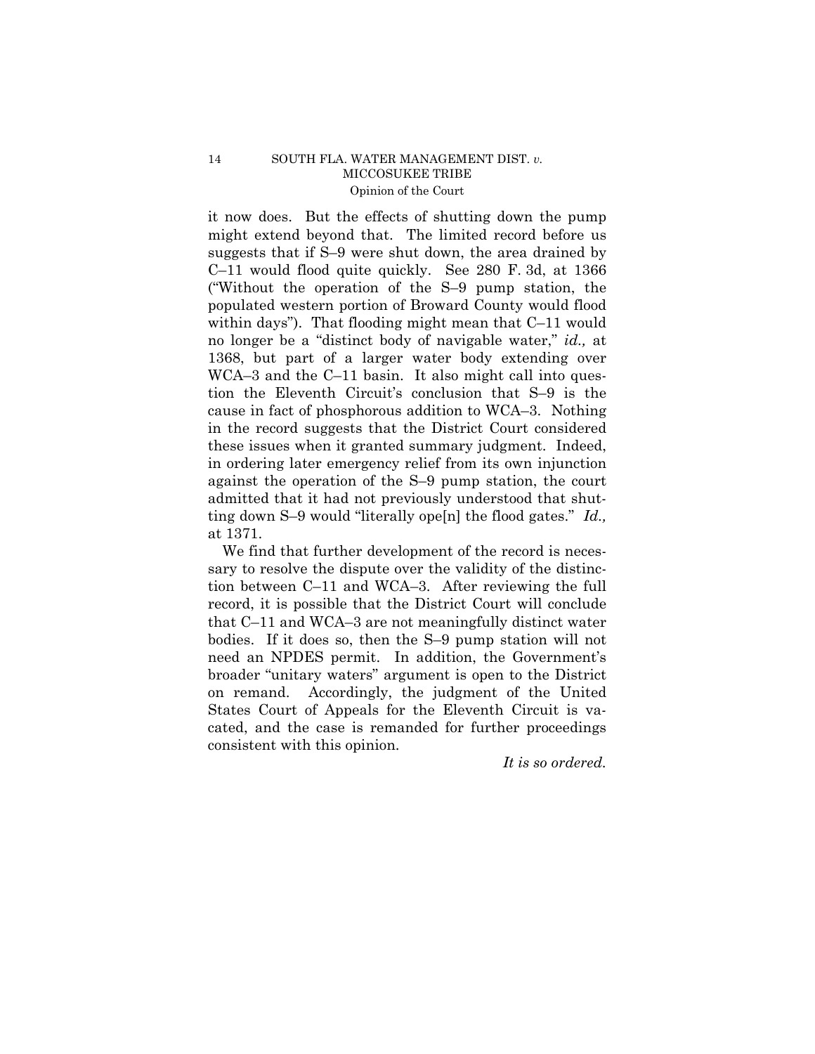it now does. But the effects of shutting down the pump might extend beyond that. The limited record before us suggests that if  $S-9$  were shut down, the area drained by  $C-11$  would flood quite quickly. See 280 F. 3d, at 1366 ("Without the operation of the  $S-9$  pump station, the populated western portion of Broward County would flood within days"). That flooding might mean that  $C-11$  would no longer be a "distinct body of navigable water," *id.*, at 1368, but part of a larger water body extending over WCA $-3$  and the C $-11$  basin. It also might call into question the Eleventh Circuit's conclusion that S-9 is the cause in fact of phosphorous addition to WCA–3. Nothing in the record suggests that the District Court considered these issues when it granted summary judgment. Indeed, in ordering later emergency relief from its own injunction against the operation of the S-9 pump station, the court admitted that it had not previously understood that shutting down S–9 would "literally ope<sup>[n]</sup> the flood gates." *Id.*, at 1371.

We find that further development of the record is necessary to resolve the dispute over the validity of the distinction between  $C-11$  and WCA $-3$ . After reviewing the full record, it is possible that the District Court will conclude that  $C-11$  and WCA $-3$  are not meaningfully distinct water bodies. If it does so, then the S-9 pump station will not need an NPDES permit. In addition, the Government's broader "unitary waters" argument is open to the District on remand. Accordingly, the judgment of the United States Court of Appeals for the Eleventh Circuit is vacated, and the case is remanded for further proceedings consistent with this opinion.

*It is so ordered.*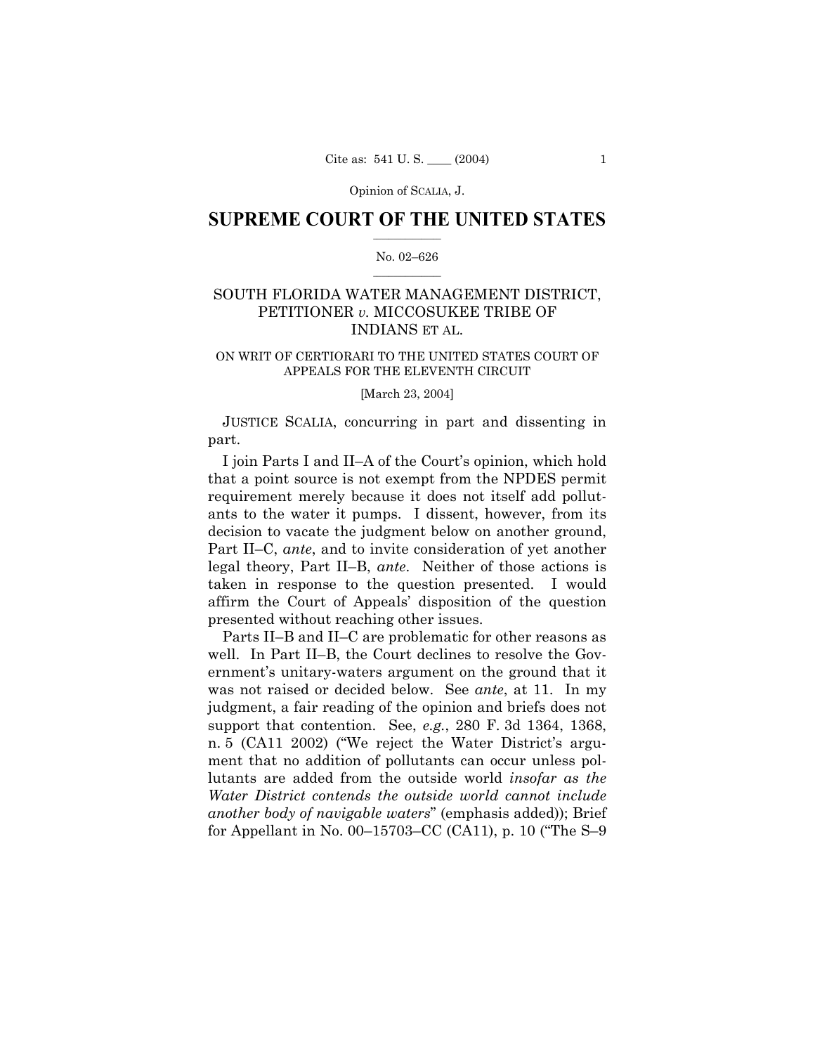Opinion of SCALIA, J.

### **SUPREME COURT OF THE UNITED STATES**  $\mathcal{L}=\mathcal{L}^{\mathcal{L}}$

### No. 02-626  $\frac{1}{2}$  ,  $\frac{1}{2}$  ,  $\frac{1}{2}$  ,  $\frac{1}{2}$  ,  $\frac{1}{2}$  ,  $\frac{1}{2}$

# SOUTH FLORIDA WATER MANAGEMENT DISTRICT, PETITIONER *v.* MICCOSUKEE TRIBE OF INDIANS ET AL.

## ON WRIT OF CERTIORARI TO THE UNITED STATES COURT OF APPEALS FOR THE ELEVENTH CIRCUIT

### [March 23, 2004]

JUSTICE SCALIA, concurring in part and dissenting in part.

I join Parts I and II–A of the Court's opinion, which hold that a point source is not exempt from the NPDES permit requirement merely because it does not itself add pollutants to the water it pumps. I dissent, however, from its decision to vacate the judgment below on another ground, Part II–C, *ante*, and to invite consideration of yet another legal theory, Part II–B, *ante*. Neither of those actions is taken in response to the question presented. I would affirm the Court of Appeals' disposition of the question presented without reaching other issues.

Parts II–B and II–C are problematic for other reasons as well. In Part II–B, the Court declines to resolve the Government's unitary-waters argument on the ground that it was not raised or decided below. See *ante*, at 11. In my judgment, a fair reading of the opinion and briefs does not support that contention. See, *e.g.*, 280 F. 3d 1364, 1368, n. 5 (CA11 2002) ("We reject the Water District's argument that no addition of pollutants can occur unless pollutants are added from the outside world *insofar as the Water District contends the outside world cannot include another body of navigable waters*î (emphasis added)); Brief for Appellant in No. 00–15703–CC (CA11), p. 10 ("The S–9